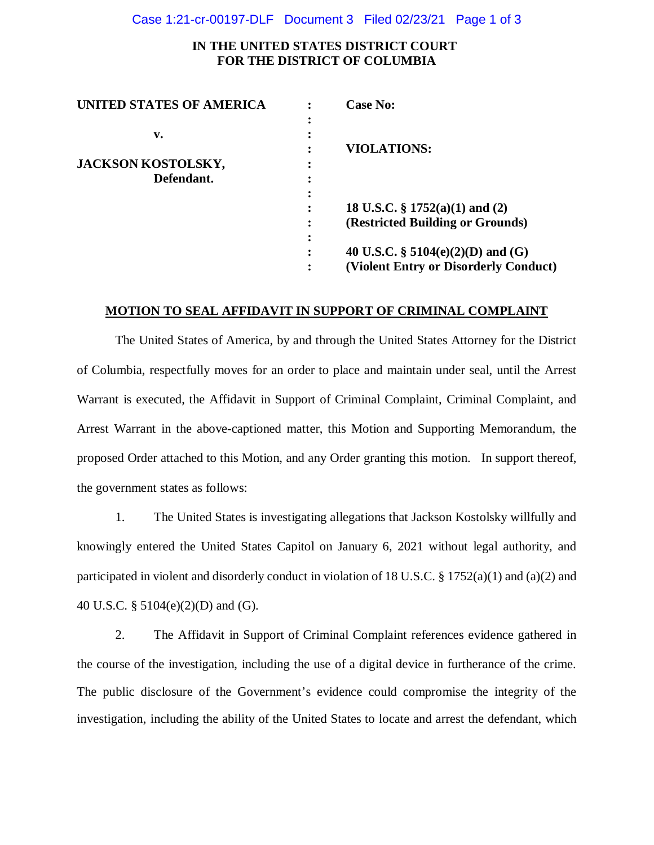### Case 1:21-cr-00197-DLF Document 3 Filed 02/23/21 Page 1 of 3

# **IN THE UNITED STATES DISTRICT COURT FOR THE DISTRICT OF COLUMBIA**

| <b>Case No:</b>                       |
|---------------------------------------|
|                                       |
|                                       |
| <b>VIOLATIONS:</b>                    |
|                                       |
|                                       |
|                                       |
| 18 U.S.C. $\S 1752(a)(1)$ and (2)     |
| (Restricted Building or Grounds)      |
|                                       |
| 40 U.S.C. § 5104(e)(2)(D) and (G)     |
| (Violent Entry or Disorderly Conduct) |
|                                       |

## **MOTION TO SEAL AFFIDAVIT IN SUPPORT OF CRIMINAL COMPLAINT**

The United States of America, by and through the United States Attorney for the District of Columbia, respectfully moves for an order to place and maintain under seal, until the Arrest Warrant is executed, the Affidavit in Support of Criminal Complaint, Criminal Complaint, and Arrest Warrant in the above-captioned matter, this Motion and Supporting Memorandum, the proposed Order attached to this Motion, and any Order granting this motion. In support thereof, the government states as follows:

1. The United States is investigating allegations that Jackson Kostolsky willfully and knowingly entered the United States Capitol on January 6, 2021 without legal authority, and participated in violent and disorderly conduct in violation of 18 U.S.C. § 1752(a)(1) and (a)(2) and 40 U.S.C. § 5104(e)(2)(D) and (G).

2. The Affidavit in Support of Criminal Complaint references evidence gathered in the course of the investigation, including the use of a digital device in furtherance of the crime. The public disclosure of the Government's evidence could compromise the integrity of the investigation, including the ability of the United States to locate and arrest the defendant, which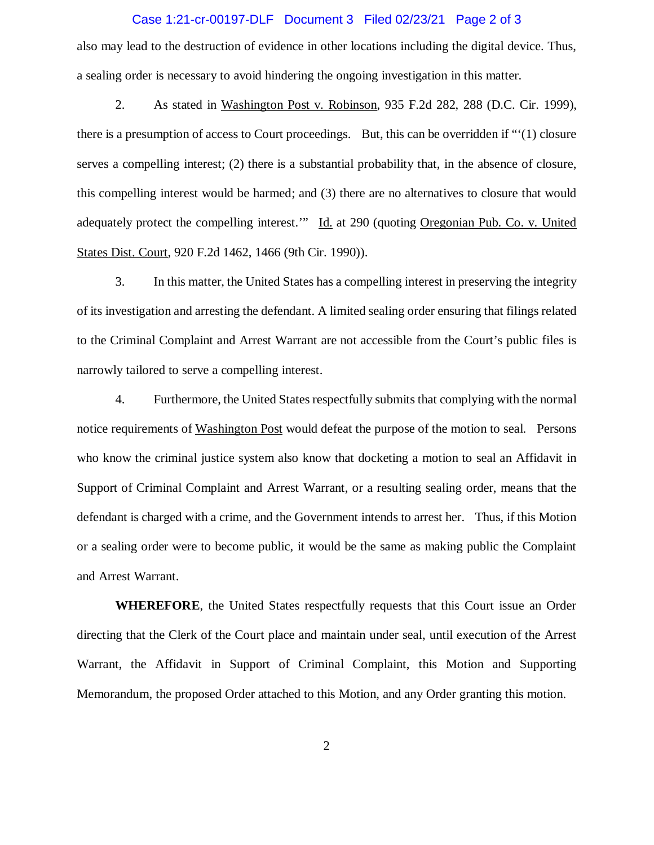## Case 1:21-cr-00197-DLF Document 3 Filed 02/23/21 Page 2 of 3

also may lead to the destruction of evidence in other locations including the digital device. Thus, a sealing order is necessary to avoid hindering the ongoing investigation in this matter.

2. As stated in Washington Post v. Robinson, 935 F.2d 282, 288 (D.C. Cir. 1999), there is a presumption of access to Court proceedings. But, this can be overridden if "'(1) closure serves a compelling interest; (2) there is a substantial probability that, in the absence of closure, this compelling interest would be harmed; and (3) there are no alternatives to closure that would adequately protect the compelling interest.'" Id. at 290 (quoting Oregonian Pub. Co. v. United States Dist. Court, 920 F.2d 1462, 1466 (9th Cir. 1990)).

3. In this matter, the United States has a compelling interest in preserving the integrity of its investigation and arresting the defendant. A limited sealing order ensuring that filings related to the Criminal Complaint and Arrest Warrant are not accessible from the Court's public files is narrowly tailored to serve a compelling interest.

4. Furthermore, the United States respectfully submits that complying with the normal notice requirements of Washington Post would defeat the purpose of the motion to seal. Persons who know the criminal justice system also know that docketing a motion to seal an Affidavit in Support of Criminal Complaint and Arrest Warrant, or a resulting sealing order, means that the defendant is charged with a crime, and the Government intends to arrest her. Thus, if this Motion or a sealing order were to become public, it would be the same as making public the Complaint and Arrest Warrant.

**WHEREFORE**, the United States respectfully requests that this Court issue an Order directing that the Clerk of the Court place and maintain under seal, until execution of the Arrest Warrant, the Affidavit in Support of Criminal Complaint, this Motion and Supporting Memorandum, the proposed Order attached to this Motion, and any Order granting this motion.

2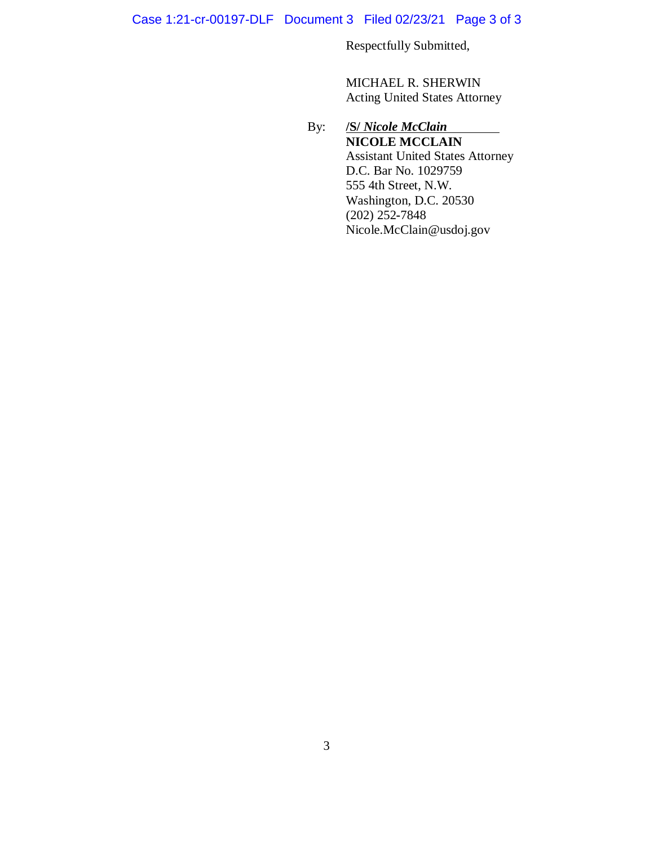Case 1:21-cr-00197-DLF Document 3 Filed 02/23/21 Page 3 of 3

Respectfully Submitted,

MICHAEL R. SHERWIN Acting United States Attorney

# By: **/S/** *Nicole McClain* **NICOLE MCCLAIN** Assistant United States Attorney D.C. Bar No. 1029759 555 4th Street, N.W. Washington, D.C. 20530 (202) 252**-**7848 Nicole.McClain@usdoj.gov